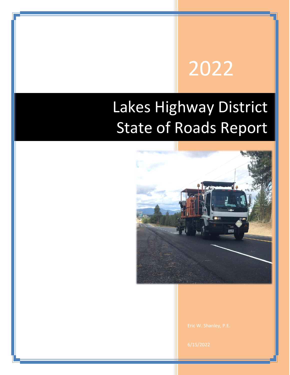# 2022

## Lakes Highway District State of Roads Report

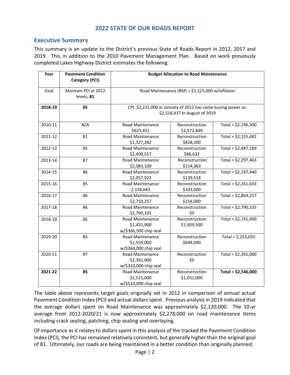#### **2022 STATE OF OUR ROADS REPORT**

#### <span id="page-2-1"></span><span id="page-2-0"></span>**Executive Summary**

This summary is an update to the District's previous State of Roads Report in 2012, 2017 and 2019. This in addition to the 2010 Pavement Management Plan. Based on work previously completed Lakes Highway District estimates the following:

| Year    | <b>Pavement Condition</b><br><b>Category (PCI)</b> | <b>Budget Allocation to Road Maintenance</b>                                                     |                                                     |                      |  |
|---------|----------------------------------------------------|--------------------------------------------------------------------------------------------------|-----------------------------------------------------|----------------------|--|
| Goal    | Maintain PCI at 2012<br>levels, 81                 | Road Maintenance (RM) = \$2,225,000 w/inflation                                                  |                                                     |                      |  |
| 2018-19 | 85                                                 | CPI: \$2,225,000 in January of 2012 has same buying power as:<br>\$2,518,437 in August of 2019   |                                                     |                      |  |
| 2010-11 | N/A                                                | <b>Road Maintenance</b><br>\$623,451                                                             | Reconstruction<br>\$1,572,849                       | Total = $$2,196,300$ |  |
| 2011-12 | 81                                                 | Road Maintenance<br>\$1,327,282                                                                  | Total = $$2,155,482$<br>Reconstruction<br>\$828,200 |                      |  |
| 2012-13 | 85                                                 | Road Maintenance<br>\$2,400,557                                                                  | Reconstruction<br>\$86,632                          | Total = $$2,487,189$ |  |
| 2013-14 | 87                                                 | Road Maintenance<br>Reconstruction<br>\$2,083,100<br>\$214,363                                   |                                                     | Total = $$2,297,463$ |  |
| 2014-15 | 86                                                 | Road Maintenance<br>Reconstruction<br>\$2,057,922<br>\$139,518                                   |                                                     | Total = $$2,197,440$ |  |
| 2015-16 | 85                                                 | Road Maintenance<br>Reconstruction<br>\$103,000<br>2,158,643                                     |                                                     | Total = $$2,261,643$ |  |
| 2016-17 | 86                                                 | Road Maintenance<br>\$2,710,257                                                                  | Reconstruction<br>\$154,000                         | Total = $$2,864,257$ |  |
| 2017-18 | 86                                                 | Road Maintenance<br>\$2,790,335                                                                  | Reconstruction<br>\$0                               | Total = $$2,790,335$ |  |
| 2018-19 | 85                                                 | <b>Road Maintenance</b><br>Reconstruction<br>\$1,431,900<br>\$1,309,500<br>w/\$366,500 chip seal |                                                     | Total = $$2,741,400$ |  |
| 2019-20 | 85                                                 | Road Maintenance<br>Reconstruction<br>\$1,559,000<br>\$694,000<br>w/\$360,000 chip seal          |                                                     | Total = $2,253,035$  |  |
| 2020-21 | 87                                                 | <b>Road Maintenance</b><br>Reconstruction<br>\$2,391,000<br>\$0<br>w/\$320,000 chip seal         |                                                     | Total = $$2,391,000$ |  |
| 2021-22 | 85                                                 | Road Maintenance<br>Reconstruction<br>\$1,515,000<br>\$1,031,000<br>w/\$510,000 chip seal        |                                                     | Total = $$2,546,000$ |  |

The table above represents target goals originally set in 2012 in comparison of annual actual Pavement Condition Index (PCI) and actual dollars spent. Previous analysis in 2019 indicated that the average dollars spent on Road Maintenance was approximately \$2,120,000. The 10-yr average from 2012-2020/21 is now approximately \$2,278,000 on road maintenance items including crack sealing, patching, chip sealing and overlaying.

Of importance as it relates to dollars spent in this analysis of the tracked the Pavement Condition Index (PCI), the PCI has remained relatively consistent, but generally higher than the original goal of 81. Ultimately, our roads are being maintained in a better condition than originally planned.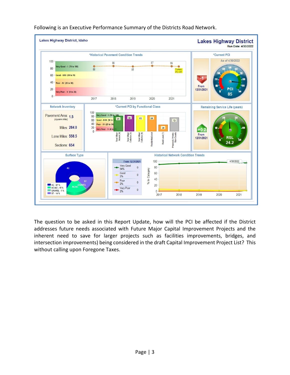

Following is an Executive Performance Summary of the Districts Road Network.

The question to be asked in this Report Update, how will the PCI be affected if the District addresses future needs associated with Future Major Capital Improvement Projects and the inherent need to save for larger projects such as facilities improvements, bridges, and intersection improvements) being considered in the draft Capital Improvement Project List? This without calling upon Foregone Taxes.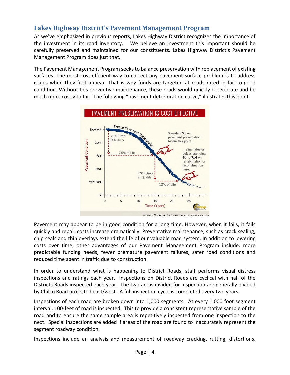### <span id="page-4-0"></span>**Lakes Highway District's Pavement Management Program**

As we've emphasized in previous reports, Lakes Highway District recognizes the importance of the investment in its road inventory. We believe an investment this important should be carefully preserved and maintained for our constituents. Lakes Highway District's Pavement Management Program does just that.

The Pavement Management Program seeks to balance preservation with replacement of existing surfaces. The most cost-efficient way to correct any pavement surface problem is to address issues when they first appear. That is why funds are targeted at roads rated in fair-to-good condition. Without this preventive maintenance, these roads would quickly deteriorate and be much more costly to fix. The following "pavement deterioration curve," illustrates this point.



Pavement may appear to be in good condition for a long time. However, when it fails, it fails quickly and repair costs increase dramatically. Preventative maintenance, such as crack sealing, chip seals and thin overlays extend the life of our valuable road system. In addition to lowering costs over time, other advantages of our Pavement Management Program include: more predictable funding needs, fewer premature pavement failures, safer road conditions and reduced time spent in traffic due to construction.

In order to understand what is happening to District Roads, staff performs visual distress inspections and ratings each year. Inspections on District Roads are cyclical with half of the Districts Roads inspected each year. The two areas divided for inspection are generally divided by Chilco Road projected east/west. A full inspection cycle is completed every two years.

Inspections of each road are broken down into 1,000 segments. At every 1,000 foot segment interval, 100-feet of road is inspected. This to provide a consistent representative sample of the road and to ensure the same sample area is repetitively inspected from one inspection to the next. Special inspections are added if areas of the road are found to inaccurately represent the segment roadway condition.

Inspections include an analysis and measurement of roadway cracking, rutting, distortions,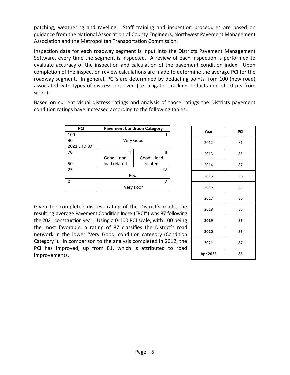patching, weathering and raveling. Staff training and inspection procedures are based on guidance from the National Association of County Engineers, Northwest Pavement Management Association and the Metropolitan Transportation Commission.

Inspection data for each roadway segment is input into the Districts Pavement Management Software, every time the segment is inspected. A review of each inspection is performed to evaluate accuracy of the inspection and calculation of the pavement condition index. Upon completion of the inspection review calculations are made to determine the average PCI for the roadway segment. In general, PCI's are determined by deducting points from 100 (new road) associated with types of distress observed (i.e. alligator cracking deducts min of 10 pts from score).

Based on current visual distress ratings and analysis of those ratings the Districts pavement condition ratings have increased according to the following tables.

| <b>PCI</b>  | <b>Pavement Condition Category</b> |             |  |  |  |
|-------------|------------------------------------|-------------|--|--|--|
| 100         |                                    |             |  |  |  |
| 90          | Very Good                          |             |  |  |  |
| 2021 LHD 87 |                                    |             |  |  |  |
| 70          | Ш                                  | Ш           |  |  |  |
|             | Good-non                           | Good - load |  |  |  |
| 50          | load related                       | related     |  |  |  |
| 25          |                                    | IV          |  |  |  |
|             | Poor                               |             |  |  |  |
| n           |                                    | V           |  |  |  |
|             | Very Poor                          |             |  |  |  |

Given the completed distress rating of the District's roads, the resulting average Pavement Condition Index ("PCI") was 87 following the 2021 construction year. Using a 0-100 PCI scale, with 100 being the most favorable, a rating of 87 classifies the District's road network in the lower 'Very Good' condition category (Condition Category I). In comparison to the analysis completed in 2012, the PCI has improved, up from 81, which is attributed to road improvements.

| Year     | PCI |  |
|----------|-----|--|
| 2012     | 81  |  |
| 2013     | 85  |  |
| 2014     | 87  |  |
| 2015     | 86  |  |
| 2016     | 85  |  |
| 2017     | 86  |  |
| 2018     | 86  |  |
| 2019     | 85  |  |
| 2020     | 85  |  |
| 2021     | 87  |  |
| Apr 2022 | 85  |  |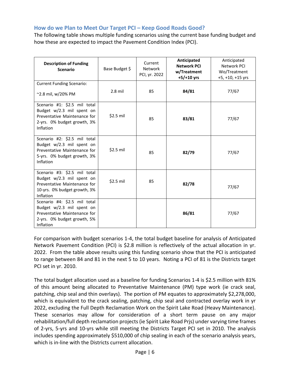#### <span id="page-6-0"></span>**How do we Plan to Meet Our Target PCI – Keep Good Roads Good?**

The following table shows multiple funding scenarios using the current base funding budget and how these are expected to impact the Pavement Condition Index (PCI).

| <b>Description of Funding</b><br><b>Scenario</b>                                                                                             | Base Budget \$ | Current<br>Network<br>PCI, yr. 2022 | Anticipated<br><b>Network PCI</b><br>w/Treatment<br>$+5/+10$ yrs | Anticipated<br>Network PCI<br>Wo/Treatment<br>+5, +10, +15 yrs |
|----------------------------------------------------------------------------------------------------------------------------------------------|----------------|-------------------------------------|------------------------------------------------------------------|----------------------------------------------------------------|
| <b>Current Funding Scenario:</b><br>~2.8 mil, w/20% PM                                                                                       | $2.8$ mil      | 85                                  | 84/81                                                            | 77/67                                                          |
| Scenario #1: \$2.5 mil total<br>Budget w/2.3 mil spent on<br>Preventative Maintenance for<br>2-yrs. 0% budget growth, 3%<br>Inflation        | $$2.5$ mil     | 85                                  | 83/81                                                            | 77/67                                                          |
| Scenario #2: \$2.5 mil total<br>Budget w/2.3 mil spent on<br>Preventative Maintenance for<br>5-yrs. 0% budget growth, 3%<br><b>Inflation</b> | \$2.5 mil      | 85                                  | 82/79                                                            | 77/67                                                          |
| Scenario #3: \$2.5 mil total<br>Budget w/2.3 mil spent on<br>Preventative Maintenance for<br>10-yrs. 0% budget growth, 3%<br>Inflation       | \$2.5 mil      | 85                                  | 82/78                                                            | 77/67                                                          |
| Scenario #4: \$2.5 mil total<br>Budget w/2.3 mil spent on<br>Preventative Maintenance for<br>2-yrs. 0% budget growth, 5%<br><b>Inflation</b> |                |                                     | 86/81                                                            | 77/67                                                          |

For comparison with budget scenarios 1-4, the total budget baseline for analysis of Anticipated Network Pavement Condition (PCI) is \$2.8 million is reflectively of the actual allocation in yr. 2022. From the table above results using this funding scenario show that the PCI is anticipated to range between 84 and 81 in the next 5 to 10 years. Noting a PCI of 81 is the Districts target PCI set in yr. 2010.

The total budget allocation used as a baseline for funding Scenarios 1-4 is \$2.5 million with 81% of this amount being allocated to Preventative Maintenance (PM) type work (ie crack seal, patching, chip seal and thin overlays). The portion of PM equates to approximately \$2,278,000, which is equivalent to the crack sealing, patching, chip seal and contracted overlay work in yr 2022, excluding the Full Depth Reclamation Work on the Spirit Lake Road (Heavy Maintenance). These scenarios may allow for consideration of a short term pause on any major rehabilitation/full depth reclamation projects (ie Spirit Lake Road Prjs) under varying time frames of 2-yrs, 5-yrs and 10-yrs while still meeting the Districts Target PCI set in 2010. The analysis includes spending approximately \$510,000 of chip sealing in each of the scenario analysis years, which is in-line with the Districts current allocation.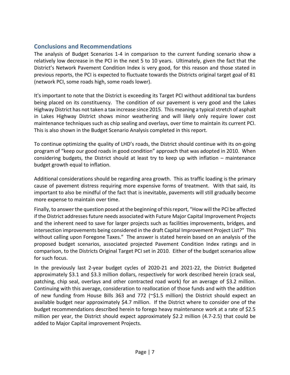#### <span id="page-7-0"></span>**Conclusions and Recommendations**

The analysis of Budget Scenarios 1-4 in comparison to the current funding scenario show a relatively low decrease in the PCI in the next 5 to 10 years. Ultimately, given the fact that the District's Network Pavement Condition Index is very good, for this reason and those stated in previous reports, the PCI is expected to fluctuate towards the Districts original target goal of 81 (network PCI, some roads high, some roads lower).

It's important to note that the District is exceeding its Target PCI without additional tax burdens being placed on its constituency. The condition of our pavement is very good and the Lakes Highway District has not taken a tax increase since 2015. This meaning a typical stretch of asphalt in Lakes Highway District shows minor weathering and will likely only require lower cost maintenance techniques such as chip sealing and overlays, over time to maintain its current PCI. This is also shown in the Budget Scenario Analysis completed in this report.

To continue optimizing the quality of LHD's roads, the District should continue with its on-going program of "keep our good roads in good condition" approach that was adopted in 2010. When considering budgets, the District should at least try to keep up with inflation – maintenance budget growth equal to inflation.

Additional considerations should be regarding area growth. This as traffic loading is the primary cause of pavement distress requiring more expensive forms of treatment. With that said, its important to also be mindful of the fact that is inevitable, pavements will still gradually become more expense to maintain over time.

Finally, to answer the question posed at the beginning of this report, "How will the PCI be affected if the District addresses future needs associated with Future Major Capital Improvement Projects and the inherent need to save for larger projects such as facilities improvements, bridges, and intersection improvements being considered in the draft Capital Improvement Project List?" This without calling upon Foregone Taxes." The answer is stated herein based on an analysis of the proposed budget scenarios, associated projected Pavement Condition Index ratings and in comparison, to the Districts Original Target PCI set in 2010. Either of the budget scenarios allow for such focus.

In the previously last 2-year budget cycles of 2020-21 and 2021-22, the District Budgeted approximately \$3.1 and \$3.3 million dollars, respectively for work described herein (crack seal, patching, chip seal, overlays and other contracted road work) for an average of \$3.2 million. Continuing with this average, consideration to reallocation of those funds and with the addition of new funding from House Bills 363 and 772 ( $\approx$ \$1.5 million) the District should expect an available budget near approximately \$4.7 million. If the District where to consider one of the budget recommendations described herein to forego heavy maintenance work at a rate of \$2.5 million per year, the District should expect approximately \$2.2 million (4.7-2.5) that could be added to Major Capital improvement Projects.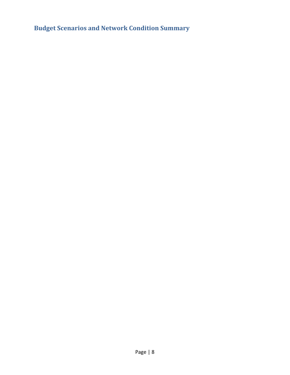<span id="page-8-0"></span>**Budget Scenarios and Network Condition Summary**